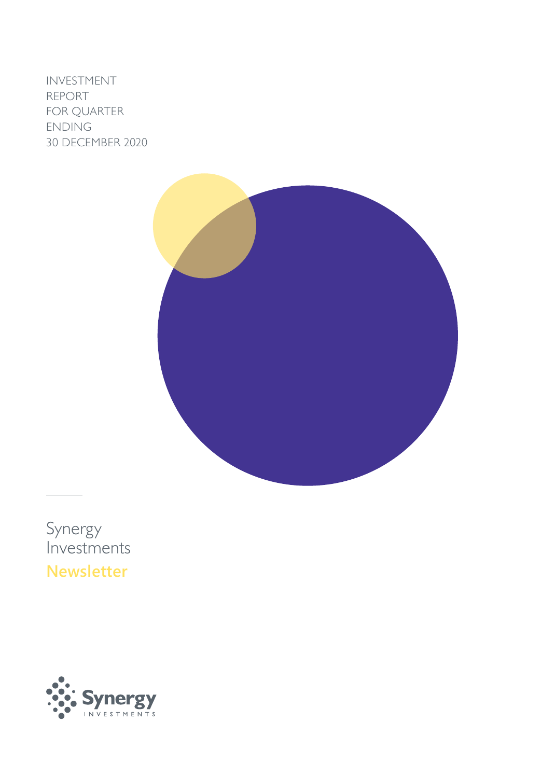INVESTMENT REPORT FOR QUARTER ENDING 30 DECEMBER 2020



Synergy Investments **Newsletter**

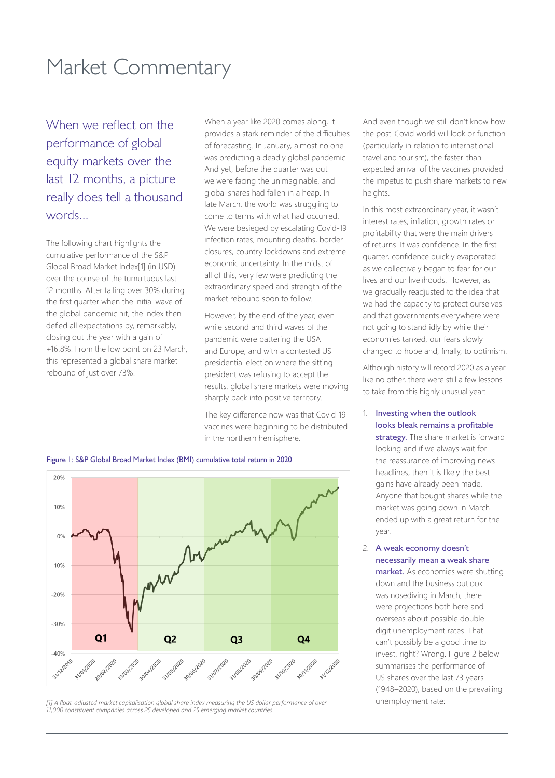# Market Commentary

When we reflect on the performance of global equity markets over the last 12 months, a picture really does tell a thousand words...

The following chart highlights the cumulative performance of the S&P Global Broad Market Index[1] (in USD) over the course of the tumultuous last 12 months. After falling over 30% during the first quarter when the initial wave of the global pandemic hit, the index then defied all expectations by, remarkably, closing out the year with a gain of +16.8%. From the low point on 23 March, this represented a global share market rebound of just over 73%!

When a year like 2020 comes along, it provides a stark reminder of the difficulties of forecasting. In January, almost no one was predicting a deadly global pandemic. And yet, before the quarter was out we were facing the unimaginable, and global shares had fallen in a heap. In late March, the world was struggling to come to terms with what had occurred. We were besieged by escalating Covid-19 infection rates, mounting deaths, border closures, country lockdowns and extreme economic uncertainty. In the midst of all of this, very few were predicting the extraordinary speed and strength of the market rebound soon to follow.

However, by the end of the year, even while second and third waves of the pandemic were battering the USA and Europe, and with a contested US presidential election where the sitting president was refusing to accept the results, global share markets were moving sharply back into positive territory.

The key difference now was that Covid-19 vaccines were beginning to be distributed in the northern hemisphere.

And even though we still don't know how the post-Covid world will look or function (particularly in relation to international travel and tourism), the faster-thanexpected arrival of the vaccines provided the impetus to push share markets to new heights.

In this most extraordinary year, it wasn't interest rates, inflation, growth rates or profitability that were the main drivers of returns. It was confidence. In the first quarter, confidence quickly evaporated as we collectively began to fear for our lives and our livelihoods. However, as we gradually readjusted to the idea that we had the capacity to protect ourselves and that governments everywhere were not going to stand idly by while their economies tanked, our fears slowly changed to hope and, finally, to optimism.

Although history will record 2020 as a year like no other, there were still a few lessons to take from this highly unusual year:

- 1. Investing when the outlook looks bleak remains a profitable strategy. The share market is forward looking and if we always wait for the reassurance of improving news headlines, then it is likely the best gains have already been made. Anyone that bought shares while the market was going down in March ended up with a great return for the year.
- 2. A weak economy doesn't necessarily mean a weak share market. As economies were shutting down and the business outlook was nosediving in March, there were projections both here and overseas about possible double digit unemployment rates. That can't possibly be a good time to invest, right? Wrong. Figure 2 below summarises the performance of US shares over the last 73 years (1948–2020), based on the prevailing unemployment rate:





*<sup>[1]</sup> A float-adjusted market capitalisation global share index measuring the US dollar performance of over 11,000 constituent companies across 25 developed and 25 emerging market countries.*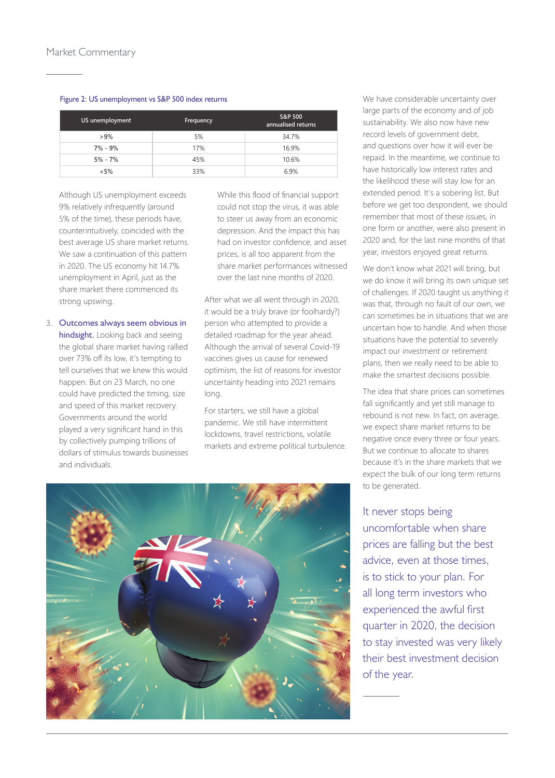#### Figure 2: US unemployment vs S&P 500 index returns

| US unemployment | Frequency | S&P 500<br>annualised returns |
|-----------------|-----------|-------------------------------|
| $>9\%$          | 5%        | 34.7%                         |
| $7\% - 9\%$     | 17%       | 16.9%                         |
| $5\% - 7\%$     | 45%       | 10.6%                         |
| $< 5\%$         | 33%       | 6.9%                          |

Although US unemployment exceeds 9% relatively infrequently (around 5% of the time), these periods have, counterintuitively, coincided with the best average US share market returns. We saw a continuation of this pattern in 2020. The US economy hit 14.7% unemployment in April, just as the share market there commenced its strong upswing.

3. Outcomes always seem obvious in hindsight. Looking back and seeing the global share market having rallied over 73% off its low, it's tempting to tell ourselves that we knew this would happen. But on 23 March, no one could have predicted the timing, size and speed of this market recovery. Governments around the world played a very significant hand in this by collectively pumping trillions of dollars of stimulus towards businesses and individuals.

While this flood of financial support could not stop the virus, it was able to steer us away from an economic depression. And the impact this has had on investor confidence, and asset prices, is all too apparent from the share market performances witnessed over the last nine months of 2020.

After what we all went through in 2020, it would be a truly brave (or foolhardy?) person who attempted to provide a detailed roadmap for the year ahead. Although the arrival of several Covid-19 vaccines gives us cause for renewed optimism, the list of reasons for investor uncertainty heading into 2021 remains long.

For starters, we still have a global pandemic. We still have intermittent lockdowns, travel restrictions, volatile markets and extreme political turbulence.



We have considerable uncertainty over large parts of the economy and of job sustainability. We also now have new record levels of government debt, and questions over how it will ever be repaid. In the meantime, we continue to have historically low interest rates and the likelihood these will stay low for an extended period. It's a sobering list. But before we get too despondent, we should remember that most of these issues, in one form or another, were also present in 2020 and, for the last nine months of that year, investors enjoyed great returns.

We don't know what 2021 will bring, but we do know it will bring its own unique set of challenges. If 2020 taught us anything it was that, through no fault of our own, we can sometimes be in situations that we are uncertain how to handle. And when those situations have the potential to severely impact our investment or retirement plans, then we really need to be able to make the smartest decisions possible.

The idea that share prices can sometimes fall significantly and yet still manage to rebound is not new. In fact, on average, we expect share market returns to be negative once every three or four years. But we continue to allocate to shares because it's in the share markets that we expect the bulk of our long term returns to be generated.

### It never stops being uncomfortable when share prices are falling but the best advice, even at those times, is to stick to your plan. For all long term investors who experienced the awful first quarter in 2020, the decision to stay invested was very likely their best investment decision of the year.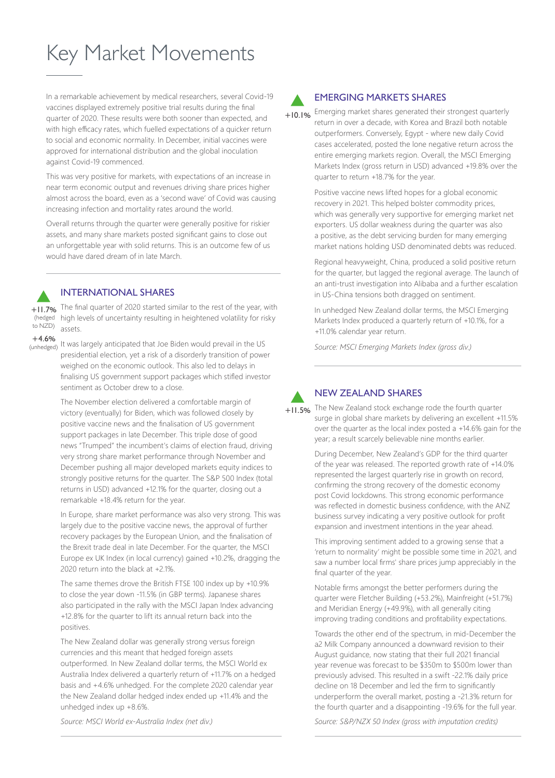# Key Market Movements

In a remarkable achievement by medical researchers, several Covid-19 vaccines displayed extremely positive trial results during the final quarter of 2020. These results were both sooner than expected, and with high efficacy rates, which fuelled expectations of a quicker return to social and economic normality. In December, initial vaccines were approved for international distribution and the global inoculation against Covid-19 commenced.

This was very positive for markets, with expectations of an increase in near term economic output and revenues driving share prices higher almost across the board, even as a 'second wave' of Covid was causing increasing infection and mortality rates around the world.

Overall returns through the quarter were generally positive for riskier assets, and many share markets posted significant gains to close out an unforgettable year with solid returns. This is an outcome few of us would have dared dream of in late March.

#### INTERNATIONAL SHARES

**INTERNATIONAL SHARES**<br> **+11.7%** The final quarter of 2020 started similar to the rest of the year, with (hedged) high levels of uncertainty resulting in heightened volatility for risky assets. to NZD)

 $+4.6%$ 

(unhedged) It was largely anticipated that Joe Biden would prevail in the US presidential election, yet a risk of a disorderly transition of power weighed on the economic outlook. This also led to delays in finalising US government support packages which stifled investor sentiment as October drew to a close.

> The November election delivered a comfortable margin of victory (eventually) for Biden, which was followed closely by positive vaccine news and the finalisation of US government support packages in late December. This triple dose of good news "Trumped" the incumbent's claims of election fraud, driving very strong share market performance through November and December pushing all major developed markets equity indices to strongly positive returns for the quarter. The S&P 500 Index (total returns in USD) advanced +12.1% for the quarter, closing out a remarkable +18.4% return for the year.

In Europe, share market performance was also very strong. This was largely due to the positive vaccine news, the approval of further recovery packages by the European Union, and the finalisation of the Brexit trade deal in late December. For the quarter, the MSCI Europe ex UK Index (in local currency) gained +10.2%, dragging the 2020 return into the black at +2.1%.

The same themes drove the British FTSE 100 index up by +10.9% to close the year down -11.5% (in GBP terms). Japanese shares also participated in the rally with the MSCI Japan Index advancing +12.8% for the quarter to lift its annual return back into the positives.

The New Zealand dollar was generally strong versus foreign currencies and this meant that hedged foreign assets outperformed. In New Zealand dollar terms, the MSCI World ex Australia Index delivered a quarterly return of +11.7% on a hedged basis and +4.6% unhedged. For the complete 2020 calendar year the New Zealand dollar hedged index ended up +11.4% and the unhedged index up +8.6%.

#### EMERGING MARKETS SHARES

Emerging market shares generated their strongest quarterly return in over a decade, with Korea and Brazil both notable  $+10.1%$ 

outperformers. Conversely, Egypt - where new daily Covid cases accelerated, posted the lone negative return across the entire emerging markets region. Overall, the MSCI Emerging Markets Index (gross return in USD) advanced +19.8% over the quarter to return +18.7% for the year.

Positive vaccine news lifted hopes for a global economic recovery in 2021. This helped bolster commodity prices, which was generally very supportive for emerging market net exporters. US dollar weakness during the quarter was also a positive, as the debt servicing burden for many emerging market nations holding USD denominated debts was reduced.

Regional heavyweight, China, produced a solid positive return for the quarter, but lagged the regional average. The launch of an anti-trust investigation into Alibaba and a further escalation in US-China tensions both dragged on sentiment.

In unhedged New Zealand dollar terms, the MSCI Emerging Markets Index produced a quarterly return of +10.1%, for a +11.0% calendar year return.

*Source: MSCI Emerging Markets Index (gross div.)*



#### NEW ZEALAND SHARES

The New Zealand stock exchange rode the fourth quarter surge in global share markets by delivering an excellent +11.5% over the quarter as the local index posted a +14.6% gain for the year; a result scarcely believable nine months earlier.

During December, New Zealand's GDP for the third quarter of the year was released. The reported growth rate of +14.0% represented the largest quarterly rise in growth on record, confirming the strong recovery of the domestic economy post Covid lockdowns. This strong economic performance was reflected in domestic business confidence, with the ANZ business survey indicating a very positive outlook for profit expansion and investment intentions in the year ahead.

This improving sentiment added to a growing sense that a 'return to normality' might be possible some time in 2021, and saw a number local firms' share prices jump appreciably in the final quarter of the year.

Notable firms amongst the better performers during the quarter were Fletcher Building (+53.2%), Mainfreight (+51.7%) and Meridian Energy (+49.9%), with all generally citing improving trading conditions and profitability expectations.

Towards the other end of the spectrum, in mid-December the a2 Milk Company announced a downward revision to their August guidance, now stating that their full 2021 financial year revenue was forecast to be \$350m to \$500m lower than previously advised. This resulted in a swift -22.1% daily price decline on 18 December and led the firm to significantly underperform the overall market, posting a -21.3% return for the fourth quarter and a disappointing -19.6% for the full year.

*Source: MSCI World ex-Australia Index (net div.)*

*Source: S&P/NZX 50 Index (gross with imputation credits)*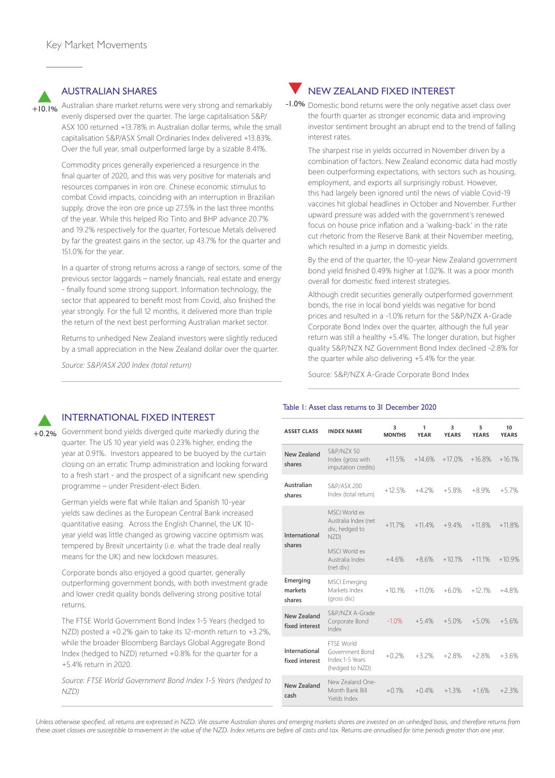**AUSTRALIAN SHARES**<br>**Australian share market returns were very strong and remarkably** evenly dispersed over the quarter. The large capitalisation S&P/ ASX 100 returned +13.78% in Australian dollar terms, while the small capitalisation S&P/ASX Small Ordinaries Index delivered +13.83%. Over the full year, small outperformed large by a sizable 8.41%.  $+10.1%$ 

> Commodity prices generally experienced a resurgence in the final quarter of 2020, and this was very positive for materials and resources companies in iron ore. Chinese economic stimulus to combat Covid impacts, coinciding with an interruption in Brazilian supply, drove the iron ore price up 27.5% in the last three months of the year. While this helped Rio Tinto and BHP advance 20.7% and 19.2% respectively for the quarter, Fortescue Metals delivered by far the greatest gains in the sector, up 43.7% for the quarter and 151.0% for the year.

> In a quarter of strong returns across a range of sectors, some of the previous sector laggards – namely financials, real estate and energy - finally found some strong support. Information technology, the sector that appeared to benefit most from Covid, also finished the year strongly. For the full 12 months, it delivered more than triple the return of the next best performing Australian market sector.

Returns to unhedged New Zealand investors were slightly reduced by a small appreciation in the New Zealand dollar over the quarter.

*Source: S&P/ASX 200 Index (total return)*

### **NEW ZEALAND FIXED INTEREST**

-1.0% Domestic bond returns were the only negative asset class over the fourth quarter as stronger economic data and improving investor sentiment brought an abrupt end to the trend of falling interest rates.

The sharpest rise in yields occurred in November driven by a combination of factors. New Zealand economic data had mostly been outperforming expectations, with sectors such as housing, employment, and exports all surprisingly robust. However, this had largely been ignored until the news of viable Covid-19 vaccines hit global headlines in October and November. Further upward pressure was added with the government's renewed focus on house price inflation and a 'walking-back' in the rate cut rhetoric from the Reserve Bank at their November meeting, which resulted in a jump in domestic vields.

By the end of the quarter, the 10-year New Zealand government bond yield finished 0.49% higher at 1.02%. It was a poor month overall for domestic fixed interest strategies.

Although credit securities generally outperformed government bonds, the rise in local bond yields was negative for bond prices and resulted in a -1.0% return for the S&P/NZX A-Grade Corporate Bond Index over the quarter, although the full year return was still a healthy +5.4%. The longer duration, but higher quality S&P/NZX NZ Government Bond Index declined -2.8% for the quarter while also delivering +5.4% for the year.

Source: S&P/NZX A-Grade Corporate Bond Index



#### INTERNATIONAL FIXED INTEREST

**INTERNATIONAL FIXED INTEREST**<br>+0.2% Government bond yields diverged quite markedly during the quarter. The US 10 year yield was 0.23% higher, ending the year at 0.91%. Investors appeared to be buoyed by the curtain closing on an erratic Trump administration and looking forward to a fresh start - and the prospect of a significant new spending programme – under President-elect Biden.

> German yields were flat while Italian and Spanish 10-year yields saw declines as the European Central Bank increased quantitative easing. Across the English Channel, the UK 10 year yield was little changed as growing vaccine optimism was tempered by Brexit uncertainty (i.e. what the trade deal really means for the UK) and new lockdown measures.

Corporate bonds also enjoyed a good quarter, generally outperforming government bonds, with both investment grade and lower credit quality bonds delivering strong positive total returns.

The FTSE World Government Bond Index 1-5 Years (hedged to NZD) posted a +0.2% gain to take its 12-month return to +3.2%, while the broader Bloomberg Barclays Global Aggregate Bond Index (hedged to NZD) returned +0.8% for the quarter for a +5.4% return in 2020.

*Source: FTSE World Government Bond Index 1-5 Years (hedged to NZD)*

### Table 1: Asset class returns to 31 December 2020

| <b>ASSET CLASS</b>              | <b>INDEX NAME</b>                                                          | 3<br><b>MONTHS</b> | 1<br><b>YEAR</b> | 3<br><b>YEARS</b> | 5<br><b>YEARS</b> | 10<br><b>YEARS</b> |
|---------------------------------|----------------------------------------------------------------------------|--------------------|------------------|-------------------|-------------------|--------------------|
| New Zealand<br>shares           | <b>S&amp;P/NZX 50</b><br>Index (gross with<br>imputation credits)          | $+11.5%$           | $+14.6%$         | $+17.0%$          | $+16.8%$          | $+16.1%$           |
| Australian<br>shares            | S&P/ASX 200<br>Index (total return)                                        | $+12.5%$           | $+4.2%$          | $+5.8%$           | $+8.9%$           | $+5.7%$            |
| International<br>shares         | MSCI World ex<br>Australia Index (net<br>div., hedged to<br>NZD)           | $+11.7%$           | $+114%$          | $+9.4%$           | $+11.8%$          | $+11.8%$           |
|                                 | MSCI World ex<br>Australia Index<br>(net div.)                             | $+4.6%$            | $+8.6%$          | $+10.1%$          | $+11.1%$          | $+10.9%$           |
| Emerging<br>markets<br>shares   | <b>MSCI</b> Emerging<br>Markets Index<br>(gross div.)                      | $+10.1%$           | $+11.0%$         | $+6.0%$           | $+12.1%$          | $+4.8%$            |
| New Zealand<br>fixed interest   | S&P/NZX A-Grade<br>Corporate Bond<br>Index                                 | $-1.0%$            | $+5.4%$          | $+5.0%$           | $+5.0%$           | $+5.6%$            |
| International<br>fixed interest | <b>FTSF World</b><br>Government Bond<br>Index 1-5 Years<br>(hedged to NZD) | $+0.2%$            | $+3.2%$          | $+2.8%$           | $+2.8%$           | $+3.6%$            |
| New Zealand<br>cash             | New Zealand One-<br>Month Bank Bill<br>Yields Index                        | $+0.1%$            | $+0.4%$          | $+1.3%$           | $+1.6%$           | $+2.3%$            |

*Unless otherwise specified, all returns are expressed in NZD. We assume Australian shares and emerging markets shares are invested on an unhedged basis, and therefore returns from these asset classes are susceptible to movement in the value of the NZD. Index returns are before all costs and tax. Returns are annualised for time periods greater than one year.*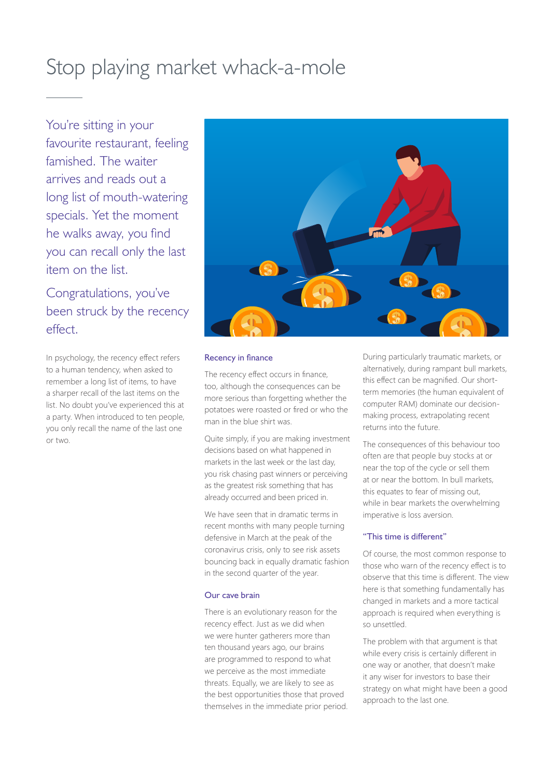# Stop playing market whack-a-mole

You're sitting in your favourite restaurant, feeling famished. The waiter arrives and reads out a long list of mouth-watering specials. Yet the moment he walks away, you find you can recall only the last item on the list.

Congratulations, you've been struck by the recency effect.

In psychology, the recency effect refers to a human tendency, when asked to remember a long list of items, to have a sharper recall of the last items on the list. No doubt you've experienced this at a party. When introduced to ten people, you only recall the name of the last one or two.



#### Recency in finance

The recency effect occurs in finance, too, although the consequences can be more serious than forgetting whether the potatoes were roasted or fired or who the man in the blue shirt was.

Quite simply, if you are making investment decisions based on what happened in markets in the last week or the last day, you risk chasing past winners or perceiving as the greatest risk something that has already occurred and been priced in.

We have seen that in dramatic terms in recent months with many people turning defensive in March at the peak of the coronavirus crisis, only to see risk assets bouncing back in equally dramatic fashion in the second quarter of the year.

#### Our cave brain

There is an evolutionary reason for the recency effect. Just as we did when we were hunter gatherers more than ten thousand years ago, our brains are programmed to respond to what we perceive as the most immediate threats. Equally, we are likely to see as the best opportunities those that proved themselves in the immediate prior period. During particularly traumatic markets, or alternatively, during rampant bull markets, this effect can be magnified. Our shortterm memories (the human equivalent of computer RAM) dominate our decisionmaking process, extrapolating recent returns into the future.

The consequences of this behaviour too often are that people buy stocks at or near the top of the cycle or sell them at or near the bottom. In bull markets, this equates to fear of missing out, while in bear markets the overwhelming imperative is loss aversion.

#### "This time is different"

Of course, the most common response to those who warn of the recency effect is to observe that this time is different. The view here is that something fundamentally has changed in markets and a more tactical approach is required when everything is so unsettled.

The problem with that argument is that while every crisis is certainly different in one way or another, that doesn't make it any wiser for investors to base their strategy on what might have been a good approach to the last one.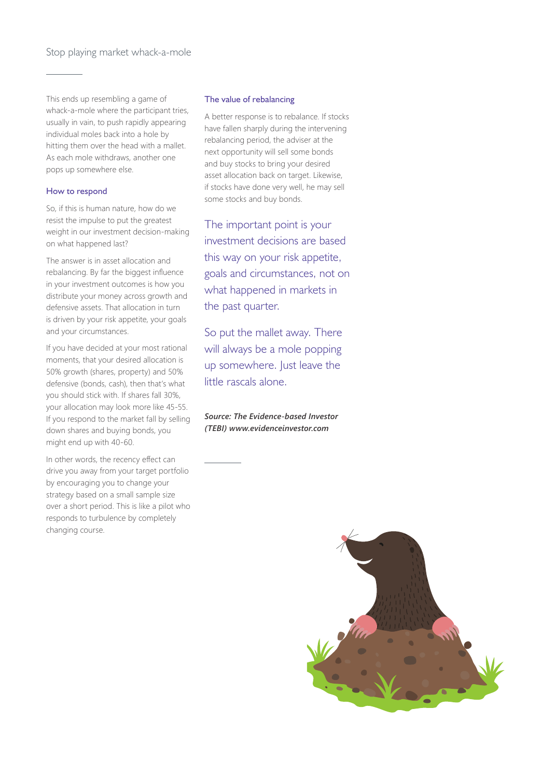This ends up resembling a game of whack-a-mole where the participant tries, usually in vain, to push rapidly appearing individual moles back into a hole by hitting them over the head with a mallet. As each mole withdraws, another one pops up somewhere else.

#### How to respond

So, if this is human nature, how do we resist the impulse to put the greatest weight in our investment decision-making on what happened last?

The answer is in asset allocation and rebalancing. By far the biggest influence in your investment outcomes is how you distribute your money across growth and defensive assets. That allocation in turn is driven by your risk appetite, your goals and your circumstances.

If you have decided at your most rational moments, that your desired allocation is 50% growth (shares, property) and 50% defensive (bonds, cash), then that's what you should stick with. If shares fall 30%, your allocation may look more like 45-55. If you respond to the market fall by selling down shares and buying bonds, you might end up with 40-60.

In other words, the recency effect can drive you away from your target portfolio by encouraging you to change your strategy based on a small sample size over a short period. This is like a pilot who responds to turbulence by completely changing course.

#### The value of rebalancing

A better response is to rebalance. If stocks have fallen sharply during the intervening rebalancing period, the adviser at the next opportunity will sell some bonds and buy stocks to bring your desired asset allocation back on target. Likewise, if stocks have done very well, he may sell some stocks and buy bonds.

The important point is your investment decisions are based this way on your risk appetite, goals and circumstances, not on what happened in markets in the past quarter.

So put the mallet away. There will always be a mole popping up somewhere. Just leave the little rascals alone.

#### *Source: The Evidence-based Investor (TEBI) www.evidenceinvestor.com*